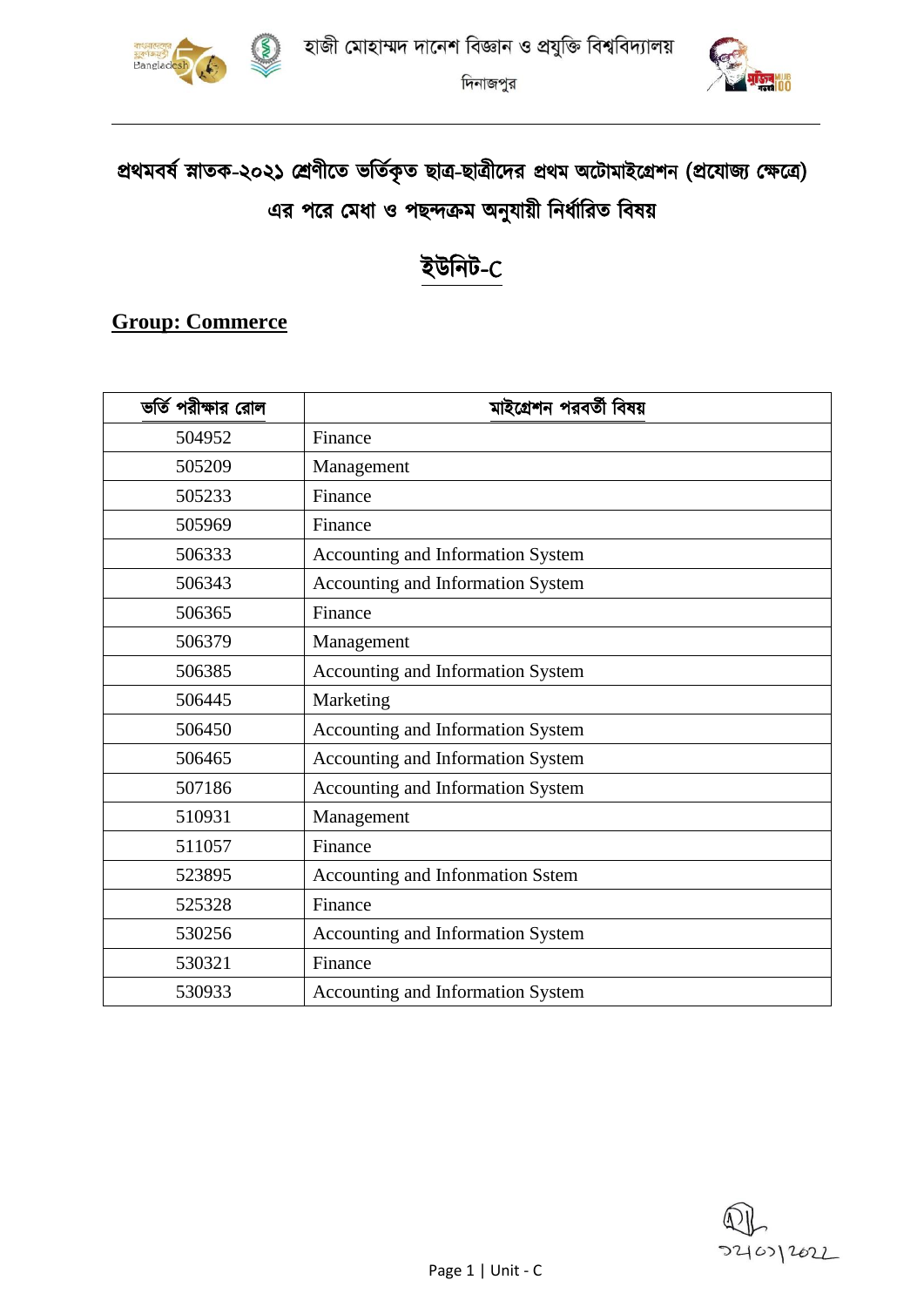

দিনাজপুর



# প্রথমবর্ষ স্নাতক-২০২১ শ্রেণীতে ভর্তিকৃত ছাত্র-ছাত্রীদের প্রথম অটোমাইগ্রেশন (প্রযোজ্য ক্ষেত্রে) এর পরে মেধা ও পছন্দক্রম অনুযায়ী নির্ধারিত বিষয়

## ইউনিট-C

#### **Group: Commerce**

| ভর্তি পরীক্ষার রোল | মাইগ্রেশন পরবর্তী বিষয়           |  |  |  |  |  |  |
|--------------------|-----------------------------------|--|--|--|--|--|--|
| 504952             | Finance                           |  |  |  |  |  |  |
| 505209             | Management                        |  |  |  |  |  |  |
| 505233             | Finance                           |  |  |  |  |  |  |
| 505969             | Finance                           |  |  |  |  |  |  |
| 506333             | Accounting and Information System |  |  |  |  |  |  |
| 506343             | Accounting and Information System |  |  |  |  |  |  |
| 506365             | Finance                           |  |  |  |  |  |  |
| 506379             | Management                        |  |  |  |  |  |  |
| 506385             | Accounting and Information System |  |  |  |  |  |  |
| 506445             | Marketing                         |  |  |  |  |  |  |
| 506450             | Accounting and Information System |  |  |  |  |  |  |
| 506465             | Accounting and Information System |  |  |  |  |  |  |
| 507186             | Accounting and Information System |  |  |  |  |  |  |
| 510931             | Management                        |  |  |  |  |  |  |
| 511057             | Finance                           |  |  |  |  |  |  |
| 523895             | Accounting and Infonmation Sstem  |  |  |  |  |  |  |
| 525328             | Finance                           |  |  |  |  |  |  |
| 530256             | Accounting and Information System |  |  |  |  |  |  |
| 530321             | Finance                           |  |  |  |  |  |  |
| 530933             | Accounting and Information System |  |  |  |  |  |  |

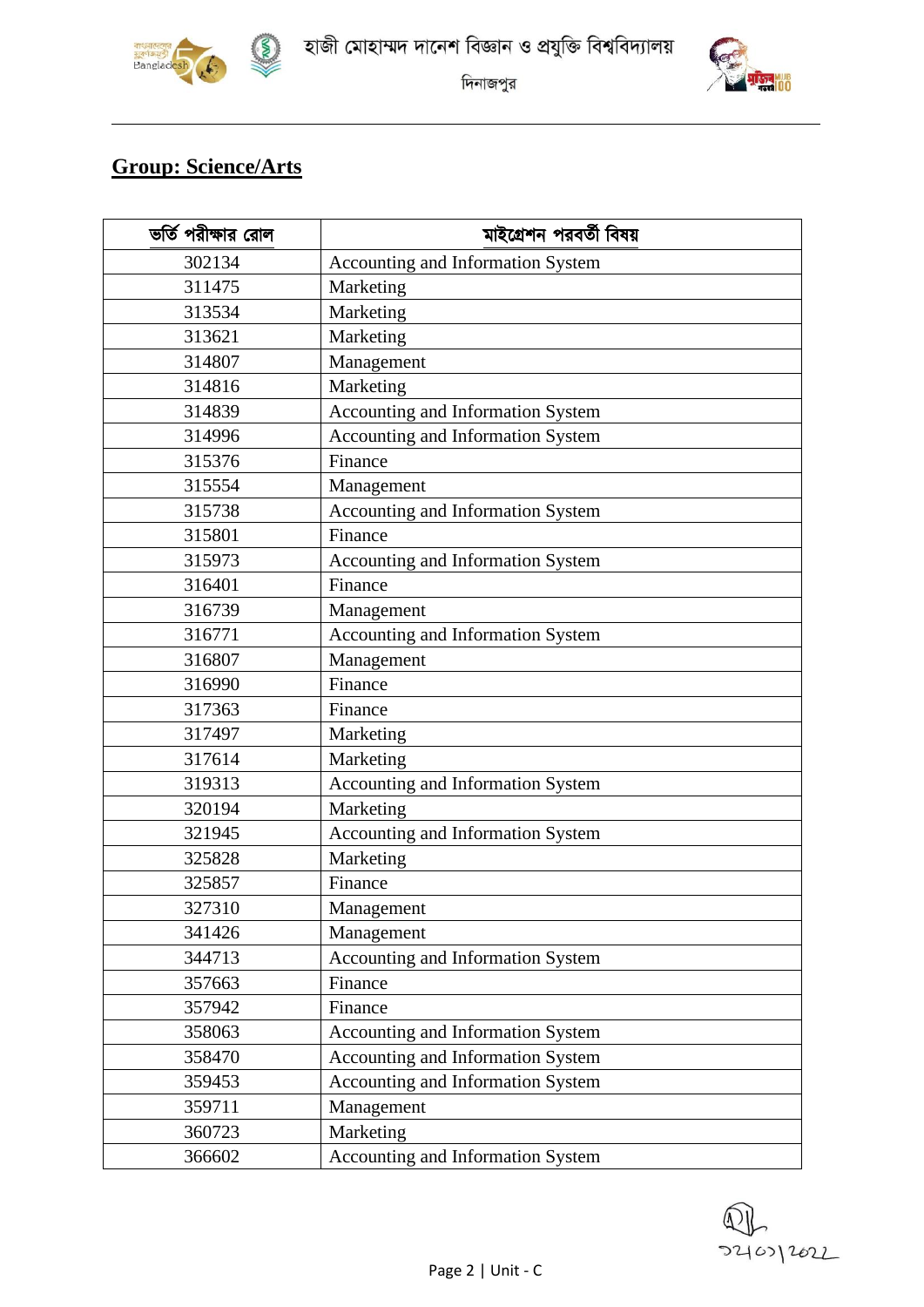

 $\circled{5}$ 





দিনাজপুর

#### **Group: Science/Arts**

| ভর্তি পরীক্ষার রোল | মাইগ্রেশন পরবর্তী বিষয়           |  |  |  |  |  |  |  |
|--------------------|-----------------------------------|--|--|--|--|--|--|--|
| 302134             | Accounting and Information System |  |  |  |  |  |  |  |
| 311475             | Marketing                         |  |  |  |  |  |  |  |
| 313534             | Marketing                         |  |  |  |  |  |  |  |
| 313621             | Marketing                         |  |  |  |  |  |  |  |
| 314807             | Management                        |  |  |  |  |  |  |  |
| 314816             | Marketing                         |  |  |  |  |  |  |  |
| 314839             | Accounting and Information System |  |  |  |  |  |  |  |
| 314996             | Accounting and Information System |  |  |  |  |  |  |  |
| 315376             | Finance                           |  |  |  |  |  |  |  |
| 315554             | Management                        |  |  |  |  |  |  |  |
| 315738             | Accounting and Information System |  |  |  |  |  |  |  |
| 315801             | Finance                           |  |  |  |  |  |  |  |
| 315973             | Accounting and Information System |  |  |  |  |  |  |  |
| 316401             | Finance                           |  |  |  |  |  |  |  |
| 316739             | Management                        |  |  |  |  |  |  |  |
| 316771             | Accounting and Information System |  |  |  |  |  |  |  |
| 316807             | Management                        |  |  |  |  |  |  |  |
| 316990             | Finance                           |  |  |  |  |  |  |  |
| 317363             | Finance                           |  |  |  |  |  |  |  |
| 317497             | Marketing                         |  |  |  |  |  |  |  |
| 317614             | Marketing                         |  |  |  |  |  |  |  |
| 319313             | Accounting and Information System |  |  |  |  |  |  |  |
| 320194             | Marketing                         |  |  |  |  |  |  |  |
| 321945             | Accounting and Information System |  |  |  |  |  |  |  |
| 325828             | Marketing                         |  |  |  |  |  |  |  |
| 325857             | Finance                           |  |  |  |  |  |  |  |
| 327310             | Management                        |  |  |  |  |  |  |  |
| 341426             | Management                        |  |  |  |  |  |  |  |
| 344713             | Accounting and Information System |  |  |  |  |  |  |  |
| 357663             | Finance                           |  |  |  |  |  |  |  |
| 357942             | Finance                           |  |  |  |  |  |  |  |
| 358063             | Accounting and Information System |  |  |  |  |  |  |  |
| 358470             | Accounting and Information System |  |  |  |  |  |  |  |
| 359453             | Accounting and Information System |  |  |  |  |  |  |  |
| 359711             | Management                        |  |  |  |  |  |  |  |
| 360723             | Marketing                         |  |  |  |  |  |  |  |
| 366602             | Accounting and Information System |  |  |  |  |  |  |  |